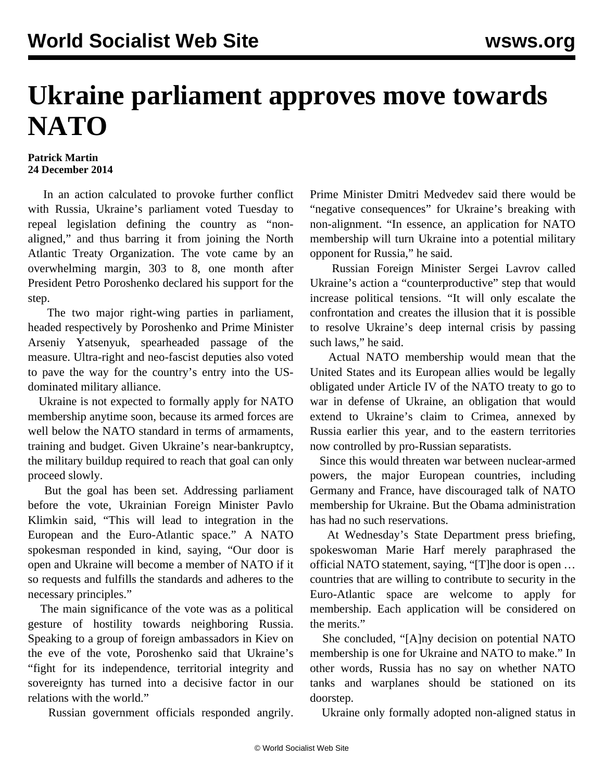## **Ukraine parliament approves move towards NATO**

## **Patrick Martin 24 December 2014**

 In an action calculated to provoke further conflict with Russia, Ukraine's parliament voted Tuesday to repeal legislation defining the country as "nonaligned," and thus barring it from joining the North Atlantic Treaty Organization. The vote came by an overwhelming margin, 303 to 8, one month after President Petro Poroshenko declared his support for the step.

 The two major right-wing parties in parliament, headed respectively by Poroshenko and Prime Minister Arseniy Yatsenyuk, spearheaded passage of the measure. Ultra-right and neo-fascist deputies also voted to pave the way for the country's entry into the USdominated military alliance.

 Ukraine is not expected to formally apply for NATO membership anytime soon, because its armed forces are well below the NATO standard in terms of armaments, training and budget. Given Ukraine's near-bankruptcy, the military buildup required to reach that goal can only proceed slowly.

 But the goal has been set. Addressing parliament before the vote, Ukrainian Foreign Minister Pavlo Klimkin said, "This will lead to integration in the European and the Euro-Atlantic space." A NATO spokesman responded in kind, saying, "Our door is open and Ukraine will become a member of NATO if it so requests and fulfills the standards and adheres to the necessary principles."

 The main significance of the vote was as a political gesture of hostility towards neighboring Russia. Speaking to a group of foreign ambassadors in Kiev on the eve of the vote, Poroshenko said that Ukraine's "fight for its independence, territorial integrity and sovereignty has turned into a decisive factor in our relations with the world."

Russian government officials responded angrily.

Prime Minister Dmitri Medvedev said there would be "negative consequences" for Ukraine's breaking with non-alignment. "In essence, an application for NATO membership will turn Ukraine into a potential military opponent for Russia," he said.

 Russian Foreign Minister Sergei Lavrov called Ukraine's action a "counterproductive" step that would increase political tensions. "It will only escalate the confrontation and creates the illusion that it is possible to resolve Ukraine's deep internal crisis by passing such laws," he said.

 Actual NATO membership would mean that the United States and its European allies would be legally obligated under Article IV of the NATO treaty to go to war in defense of Ukraine, an obligation that would extend to Ukraine's claim to Crimea, annexed by Russia earlier this year, and to the eastern territories now controlled by pro-Russian separatists.

 Since this would threaten war between nuclear-armed powers, the major European countries, including Germany and France, have discouraged talk of NATO membership for Ukraine. But the Obama administration has had no such reservations.

 At Wednesday's State Department press briefing, spokeswoman Marie Harf merely paraphrased the official NATO statement, saying, "[T]he door is open … countries that are willing to contribute to security in the Euro-Atlantic space are welcome to apply for membership. Each application will be considered on the merits."

 She concluded, "[A]ny decision on potential NATO membership is one for Ukraine and NATO to make." In other words, Russia has no say on whether NATO tanks and warplanes should be stationed on its doorstep.

Ukraine only formally adopted non-aligned status in